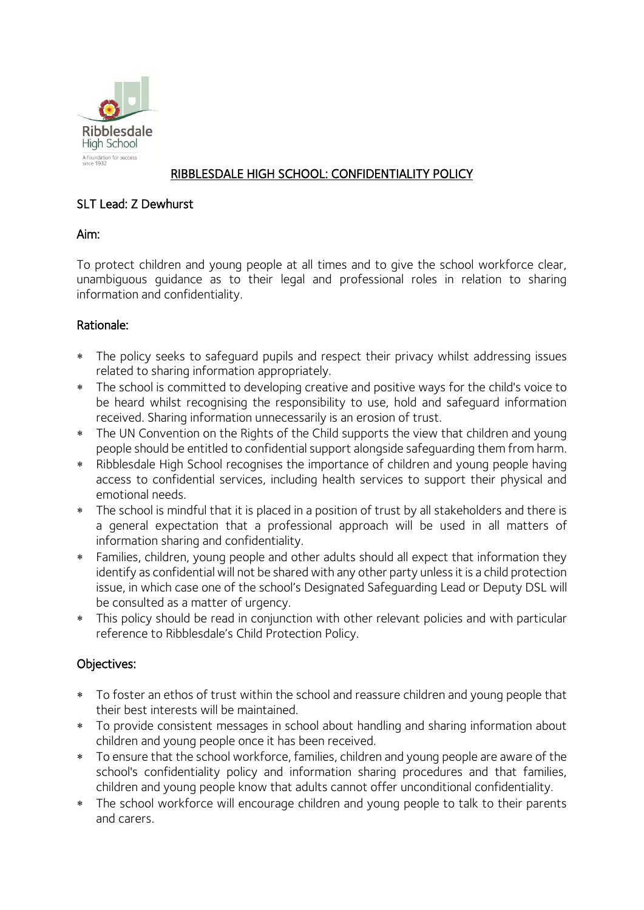

## RIBBLESDALE HIGH SCHOOL: CONFIDENTIALITY POLICY

### SLT Lead: Z Dewhurst

## Aim:

To protect children and young people at all times and to give the school workforce clear, unambiguous guidance as to their legal and professional roles in relation to sharing information and confidentiality.

## Rationale:

- The policy seeks to safeguard pupils and respect their privacy whilst addressing issues related to sharing information appropriately.
- The school is committed to developing creative and positive ways for the child's voice to be heard whilst recognising the responsibility to use, hold and safeguard information received. Sharing information unnecessarily is an erosion of trust.
- The UN Convention on the Rights of the Child supports the view that children and young people should be entitled to confidential support alongside safeguarding them from harm.
- Ribblesdale High School recognises the importance of children and young people having access to confidential services, including health services to support their physical and emotional needs.
- \* The school is mindful that it is placed in a position of trust by all stakeholders and there is a general expectation that a professional approach will be used in all matters of information sharing and confidentiality.
- Families, children, young people and other adults should all expect that information they identify as confidential will not be shared with any other party unless it is a child protection issue, in which case one of the school's Designated Safeguarding Lead or Deputy DSL will be consulted as a matter of urgency.
- This policy should be read in conjunction with other relevant policies and with particular reference to Ribblesdale's Child Protection Policy.

# Objectives:

- To foster an ethos of trust within the school and reassure children and young people that their best interests will be maintained.
- To provide consistent messages in school about handling and sharing information about children and young people once it has been received.
- To ensure that the school workforce, families, children and young people are aware of the school's confidentiality policy and information sharing procedures and that families, children and young people know that adults cannot offer unconditional confidentiality.
- The school workforce will encourage children and young people to talk to their parents and carers.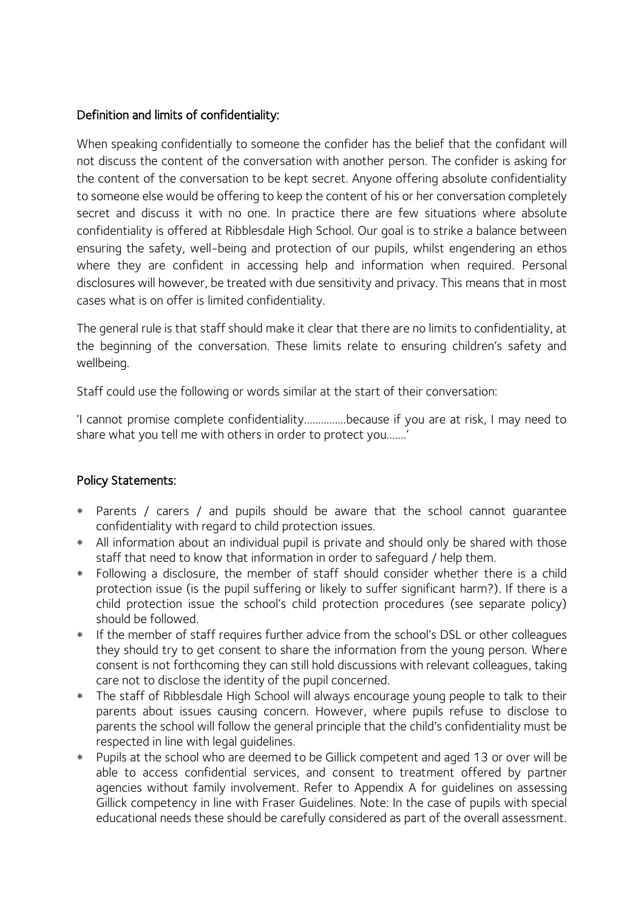### Definition and limits of confidentiality:

When speaking confidentially to someone the confider has the belief that the confidant will not discuss the content of the conversation with another person. The confider is asking for the content of the conversation to be kept secret. Anyone offering absolute confidentiality to someone else would be offering to keep the content of his or her conversation completely secret and discuss it with no one. In practice there are few situations where absolute confidentiality is offered at Ribblesdale High School. Our goal is to strike a balance between ensuring the safety, well-being and protection of our pupils, whilst engendering an ethos where they are confident in accessing help and information when required. Personal disclosures will however, be treated with due sensitivity and privacy. This means that in most cases what is on offer is limited confidentiality.

The general rule is that staff should make it clear that there are no limits to confidentiality, at the beginning of the conversation. These limits relate to ensuring children's safety and wellbeing.

Staff could use the following or words similar at the start of their conversation:

'I cannot promise complete confidentiality……………because if you are at risk, I may need to share what you tell me with others in order to protect you…….'

### Policy Statements:

- Parents / carers / and pupils should be aware that the school cannot guarantee confidentiality with regard to child protection issues.
- All information about an individual pupil is private and should only be shared with those staff that need to know that information in order to safeguard / help them.
- Following a disclosure, the member of staff should consider whether there is a child protection issue (is the pupil suffering or likely to suffer significant harm?). If there is a child protection issue the school's child protection procedures (see separate policy) should be followed.
- \* If the member of staff requires further advice from the school's DSL or other colleagues they should try to get consent to share the information from the young person. Where consent is not forthcoming they can still hold discussions with relevant colleagues, taking care not to disclose the identity of the pupil concerned.
- The staff of Ribblesdale High School will always encourage young people to talk to their parents about issues causing concern. However, where pupils refuse to disclose to parents the school will follow the general principle that the child's confidentiality must be respected in line with legal guidelines.
- Pupils at the school who are deemed to be Gillick competent and aged 13 or over will be able to access confidential services, and consent to treatment offered by partner agencies without family involvement. Refer to Appendix A for guidelines on assessing Gillick competency in line with Fraser Guidelines. Note: In the case of pupils with special educational needs these should be carefully considered as part of the overall assessment.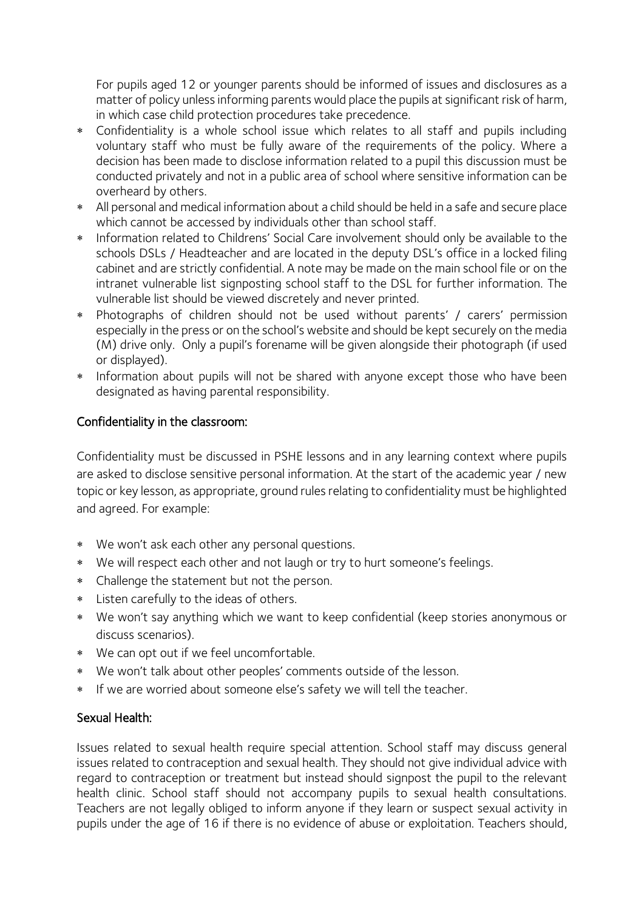For pupils aged 12 or younger parents should be informed of issues and disclosures as a matter of policy unless informing parents would place the pupils at significant risk of harm, in which case child protection procedures take precedence.

- Confidentiality is a whole school issue which relates to all staff and pupils including voluntary staff who must be fully aware of the requirements of the policy. Where a decision has been made to disclose information related to a pupil this discussion must be conducted privately and not in a public area of school where sensitive information can be overheard by others.
- All personal and medical information about a child should be held in a safe and secure place which cannot be accessed by individuals other than school staff.
- \* Information related to Childrens' Social Care involvement should only be available to the schools DSLs / Headteacher and are located in the deputy DSL's office in a locked filing cabinet and are strictly confidential. A note may be made on the main school file or on the intranet vulnerable list signposting school staff to the DSL for further information. The vulnerable list should be viewed discretely and never printed.
- Photographs of children should not be used without parents' / carers' permission especially in the press or on the school's website and should be kept securely on the media (M) drive only. Only a pupil's forename will be given alongside their photograph (if used or displayed).
- \* Information about pupils will not be shared with anyone except those who have been designated as having parental responsibility.

## Confidentiality in the classroom:

Confidentiality must be discussed in PSHE lessons and in any learning context where pupils are asked to disclose sensitive personal information. At the start of the academic year / new topic or key lesson, as appropriate, ground rules relating to confidentiality must be highlighted and agreed. For example:

- We won't ask each other any personal questions.
- We will respect each other and not laugh or try to hurt someone's feelings.
- Challenge the statement but not the person.
- Listen carefully to the ideas of others.
- We won't say anything which we want to keep confidential (keep stories anonymous or discuss scenarios).
- We can opt out if we feel uncomfortable.
- We won't talk about other peoples' comments outside of the lesson.
- \* If we are worried about someone else's safety we will tell the teacher.

### Sexual Health:

Issues related to sexual health require special attention. School staff may discuss general issues related to contraception and sexual health. They should not give individual advice with regard to contraception or treatment but instead should signpost the pupil to the relevant health clinic. School staff should not accompany pupils to sexual health consultations. Teachers are not legally obliged to inform anyone if they learn or suspect sexual activity in pupils under the age of 16 if there is no evidence of abuse or exploitation. Teachers should,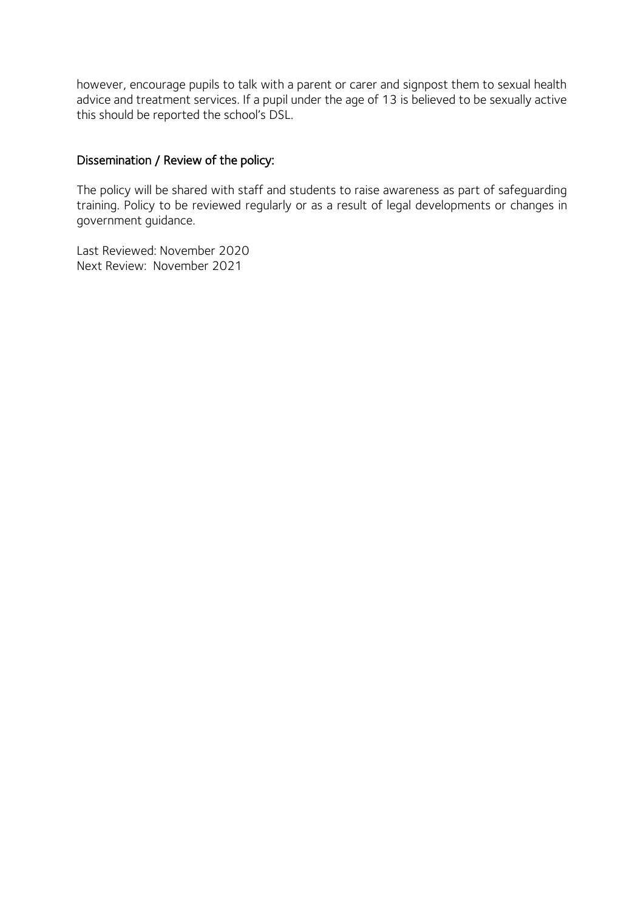however, encourage pupils to talk with a parent or carer and signpost them to sexual health advice and treatment services. If a pupil under the age of 13 is believed to be sexually active this should be reported the school's DSL.

#### Dissemination / Review of the policy:

The policy will be shared with staff and students to raise awareness as part of safeguarding training. Policy to be reviewed regularly or as a result of legal developments or changes in government guidance.

Last Reviewed: November 2020 Next Review: November 2021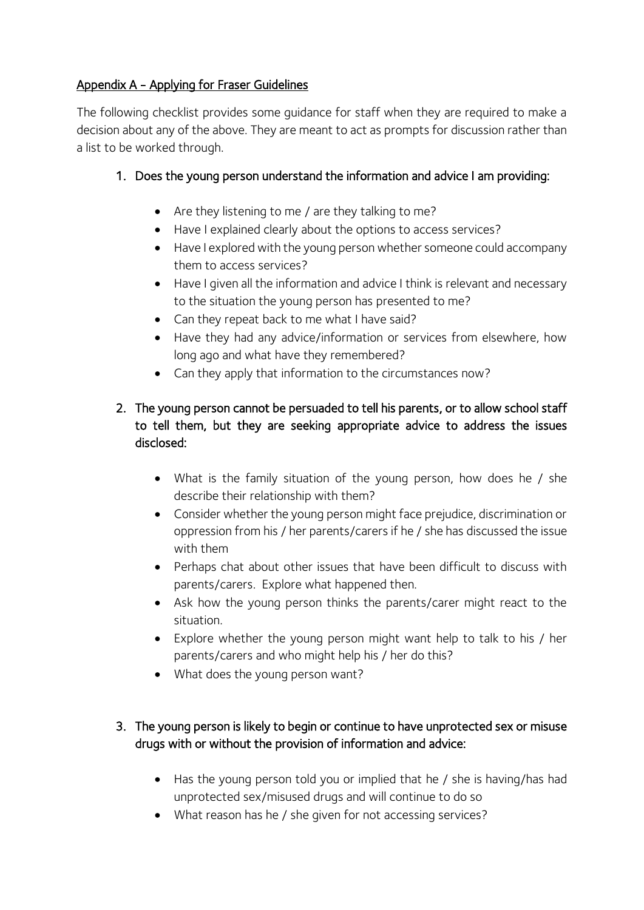## Appendix A - Applying for Fraser Guidelines

The following checklist provides some guidance for staff when they are required to make a decision about any of the above. They are meant to act as prompts for discussion rather than a list to be worked through.

# 1. Does the young person understand the information and advice I am providing:

- Are they listening to me / are they talking to me?
- Have I explained clearly about the options to access services?
- Have I explored with the young person whether someone could accompany them to access services?
- Have I given all the information and advice I think is relevant and necessary to the situation the young person has presented to me?
- Can they repeat back to me what I have said?
- Have they had any advice/information or services from elsewhere, how long ago and what have they remembered?
- Can they apply that information to the circumstances now?

# 2. The young person cannot be persuaded to tell his parents, or to allow school staff to tell them, but they are seeking appropriate advice to address the issues disclosed:

- What is the family situation of the young person, how does he / she describe their relationship with them?
- Consider whether the young person might face prejudice, discrimination or oppression from his / her parents/carers if he / she has discussed the issue with them
- Perhaps chat about other issues that have been difficult to discuss with parents/carers. Explore what happened then.
- Ask how the young person thinks the parents/carer might react to the situation.
- Explore whether the young person might want help to talk to his / her parents/carers and who might help his / her do this?
- What does the young person want?

# 3. The young person is likely to begin or continue to have unprotected sex or misuse drugs with or without the provision of information and advice:

- Has the young person told you or implied that he / she is having/has had unprotected sex/misused drugs and will continue to do so
- What reason has he / she given for not accessing services?